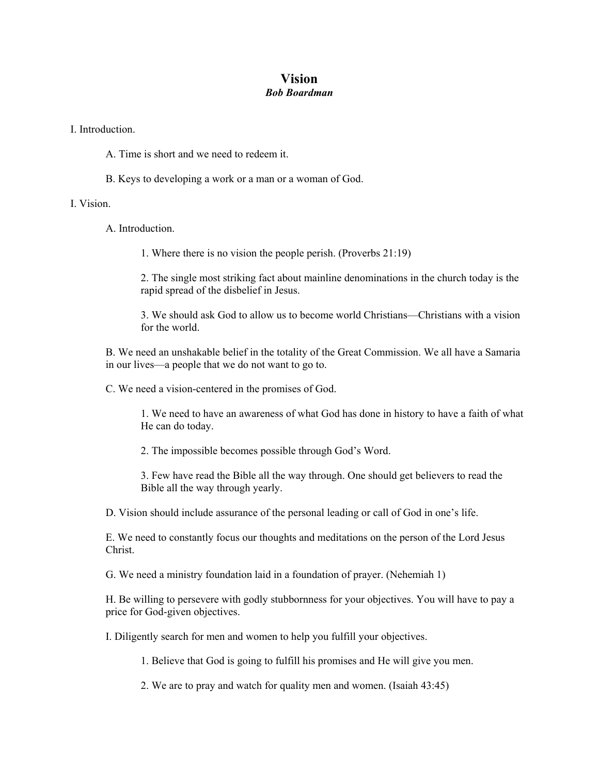## **Vision**  *Bob Boardman*

I. Introduction.

- A. Time is short and we need to redeem it.
- B. Keys to developing a work or a man or a woman of God.

I. Vision.

A. Introduction.

1. Where there is no vision the people perish. (Proverbs 21:19)

2. The single most striking fact about mainline denominations in the church today is the rapid spread of the disbelief in Jesus.

3. We should ask God to allow us to become world Christians—Christians with a vision for the world.

B. We need an unshakable belief in the totality of the Great Commission. We all have a Samaria in our lives—a people that we do not want to go to.

C. We need a vision-centered in the promises of God.

1. We need to have an awareness of what God has done in history to have a faith of what He can do today.

2. The impossible becomes possible through God's Word.

3. Few have read the Bible all the way through. One should get believers to read the Bible all the way through yearly.

D. Vision should include assurance of the personal leading or call of God in one's life.

E. We need to constantly focus our thoughts and meditations on the person of the Lord Jesus Christ.

G. We need a ministry foundation laid in a foundation of prayer. (Nehemiah 1)

H. Be willing to persevere with godly stubbornness for your objectives. You will have to pay a price for God-given objectives.

I. Diligently search for men and women to help you fulfill your objectives.

1. Believe that God is going to fulfill his promises and He will give you men.

2. We are to pray and watch for quality men and women. (Isaiah 43:45)